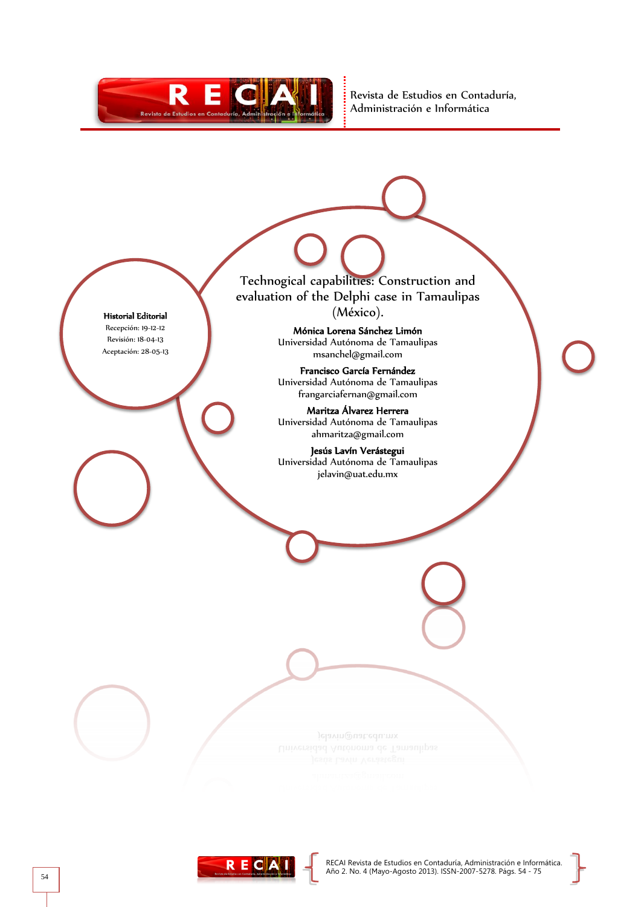

Revista de Estudios en Contaduría, Administración e Informática

Historial Editorial

Recepción: 19-12-12 Revisión: 18-04-13 Aceptación: 28-05-13

Jelavin@uat.edu.mx

Technogical capabilities: Construction and evaluation of the Delphi case in Tamaulipas (México). Mónica Lorena Sánchez Limón Universidad Autónoma de Tamaulipas msanchel@gmail.com Francisco García Fernández Universidad Autónoma de Tamaulipas frangarciafernan@gmail.com Maritza Álvarez Herrera Universidad Autónoma de Tamaulipas ahmaritza@gmail.com Jesús Lavín Verástegui Universidad Autónoma de Tamaulipas jelavin@uat.edu.mx

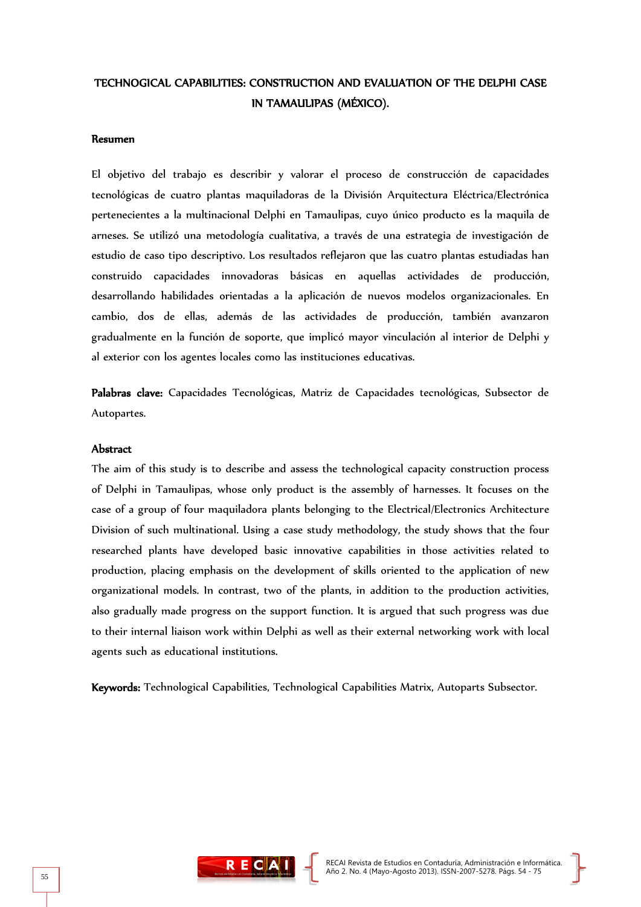# TECHNOGICAL CAPABILITIES: CONSTRUCTION AND EVALUATION OF THE DELPHI CASE IN TAMAULIPAS (MÉXICO).

#### Resumen

El objetivo del trabajo es describir y valorar el proceso de construcción de capacidades tecnológicas de cuatro plantas maquiladoras de la División Arquitectura Eléctrica/Electrónica pertenecientes a la multinacional Delphi en Tamaulipas, cuyo único producto es la maquila de arneses. Se utilizó una metodología cualitativa, a través de una estrategia de investigación de estudio de caso tipo descriptivo. Los resultados reflejaron que las cuatro plantas estudiadas han construido capacidades innovadoras básicas en aquellas actividades de producción, desarrollando habilidades orientadas a la aplicación de nuevos modelos organizacionales. En cambio, dos de ellas, además de las actividades de producción, también avanzaron gradualmente en la función de soporte, que implicó mayor vinculación al interior de Delphi y al exterior con los agentes locales como las instituciones educativas.

Palabras clave: Capacidades Tecnológicas, Matriz de Capacidades tecnológicas, Subsector de Autopartes.

### Abstract

The aim of this study is to describe and assess the technological capacity construction process of Delphi in Tamaulipas, whose only product is the assembly of harnesses. It focuses on the case of a group of four maquiladora plants belonging to the Electrical/Electronics Architecture Division of such multinational. Using a case study methodology, the study shows that the four researched plants have developed basic innovative capabilities in those activities related to production, placing emphasis on the development of skills oriented to the application of new organizational models. In contrast, two of the plants, in addition to the production activities, also gradually made progress on the support function. It is argued that such progress was due to their internal liaison work within Delphi as well as their external networking work with local agents such as educational institutions.

Keywords: Technological Capabilities, Technological Capabilities Matrix, Autoparts Subsector.

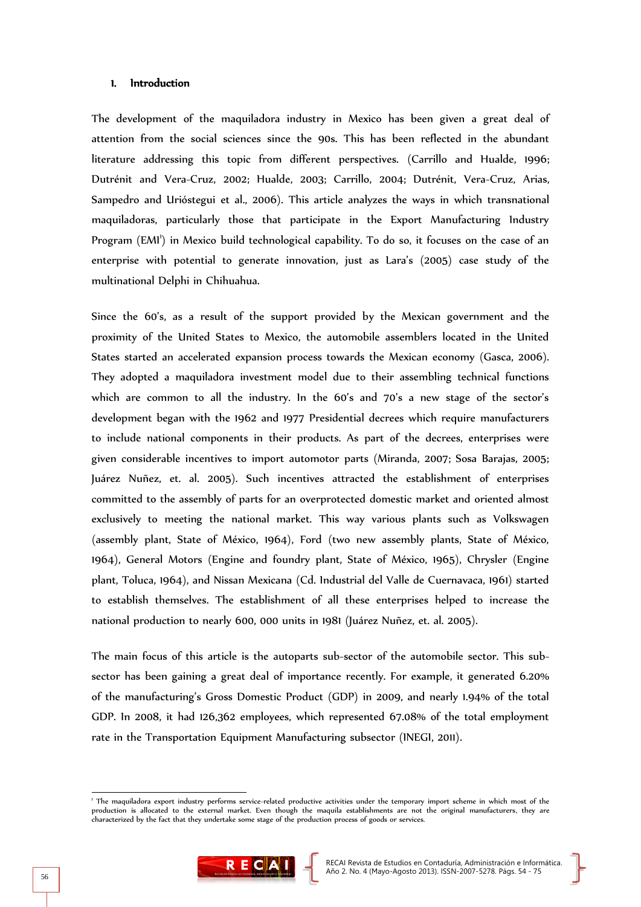### 1. Introduction

The development of the maquiladora industry in Mexico has been given a great deal of attention from the social sciences since the 90s. This has been reflected in the abundant literature addressing this topic from different perspectives. (Carrillo and Hualde, 1996; Dutrénit and Vera-Cruz, 2002; Hualde, 2003; Carrillo, 2004; Dutrénit, Vera-Cruz, Arias, Sampedro and Urióstegui et al., 2006). This article analyzes the ways in which transnational maquiladoras, particularly those that participate in the Export Manufacturing Industry Program (EMI') in Mexico build technological capability. To do so, it focuses on the case of an enterprise with potential to generate innovation, just as Lara's (2005) case study of the multinational Delphi in Chihuahua.

Since the 60's, as a result of the support provided by the Mexican government and the proximity of the United States to Mexico, the automobile assemblers located in the United States started an accelerated expansion process towards the Mexican economy (Gasca, 2006). They adopted a maquiladora investment model due to their assembling technical functions which are common to all the industry. In the 60's and 70's a new stage of the sector's development began with the 1962 and 1977 Presidential decrees which require manufacturers to include national components in their products. As part of the decrees, enterprises were given considerable incentives to import automotor parts (Miranda, 2007; Sosa Barajas, 2005; Juárez Nuñez, et. al. 2005). Such incentives attracted the establishment of enterprises committed to the assembly of parts for an overprotected domestic market and oriented almost exclusively to meeting the national market. This way various plants such as Volkswagen (assembly plant, State of México, 1964), Ford (two new assembly plants, State of México, 1964), General Motors (Engine and foundry plant, State of México, 1965), Chrysler (Engine plant, Toluca, 1964), and Nissan Mexicana (Cd. Industrial del Valle de Cuernavaca, 1961) started to establish themselves. The establishment of all these enterprises helped to increase the national production to nearly 600, 000 units in 1981 (Juárez Nuñez, et. al. 2005).

The main focus of this article is the autoparts sub-sector of the automobile sector. This subsector has been gaining a great deal of importance recently. For example, it generated 6.20% of the manufacturing's Gross Domestic Product (GDP) in 2009, and nearly 1.94% of the total GDP. In 2008, it had 126,362 employees, which represented 67.08% of the total employment rate in the Transportation Equipment Manufacturing subsector (INEGI, 2011).

<sup>1</sup> The maquiladora export industry performs service-related productive activities under the temporary import scheme in which most of the production is allocated to the external market. Even though the maquila establishments are not the original manufacturers, they are characterized by the fact that they undertake some stage of the production process of goods or services.



-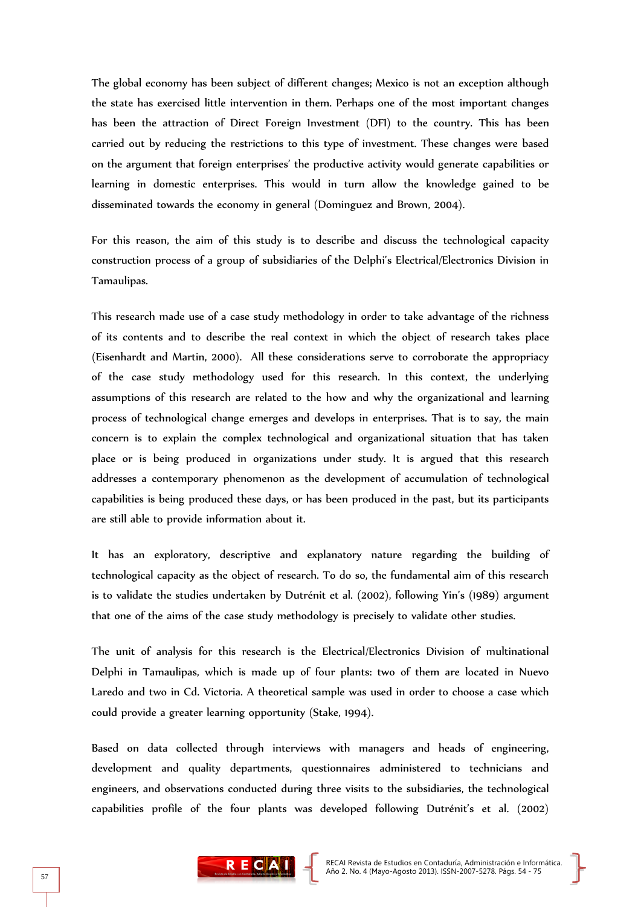The global economy has been subject of different changes; Mexico is not an exception although the state has exercised little intervention in them. Perhaps one of the most important changes has been the attraction of Direct Foreign Investment (DFI) to the country. This has been carried out by reducing the restrictions to this type of investment. These changes were based on the argument that foreign enterprises' the productive activity would generate capabilities or learning in domestic enterprises. This would in turn allow the knowledge gained to be disseminated towards the economy in general (Dominguez and Brown, 2004).

For this reason, the aim of this study is to describe and discuss the technological capacity construction process of a group of subsidiaries of the Delphi's Electrical/Electronics Division in Tamaulipas.

This research made use of a case study methodology in order to take advantage of the richness of its contents and to describe the real context in which the object of research takes place (Eisenhardt and Martin, 2000). All these considerations serve to corroborate the appropriacy of the case study methodology used for this research. In this context, the underlying assumptions of this research are related to the how and why the organizational and learning process of technological change emerges and develops in enterprises. That is to say, the main concern is to explain the complex technological and organizational situation that has taken place or is being produced in organizations under study. It is argued that this research addresses a contemporary phenomenon as the development of accumulation of technological capabilities is being produced these days, or has been produced in the past, but its participants are still able to provide information about it.

It has an exploratory, descriptive and explanatory nature regarding the building of technological capacity as the object of research. To do so, the fundamental aim of this research is to validate the studies undertaken by Dutrénit et al. (2002), following Yin's (1989) argument that one of the aims of the case study methodology is precisely to validate other studies.

The unit of analysis for this research is the Electrical/Electronics Division of multinational Delphi in Tamaulipas, which is made up of four plants: two of them are located in Nuevo Laredo and two in Cd. Victoria. A theoretical sample was used in order to choose a case which could provide a greater learning opportunity (Stake, 1994).

Based on data collected through interviews with managers and heads of engineering, development and quality departments, questionnaires administered to technicians and engineers, and observations conducted during three visits to the subsidiaries, the technological capabilities profile of the four plants was developed following Dutrénit's et al. (2002)

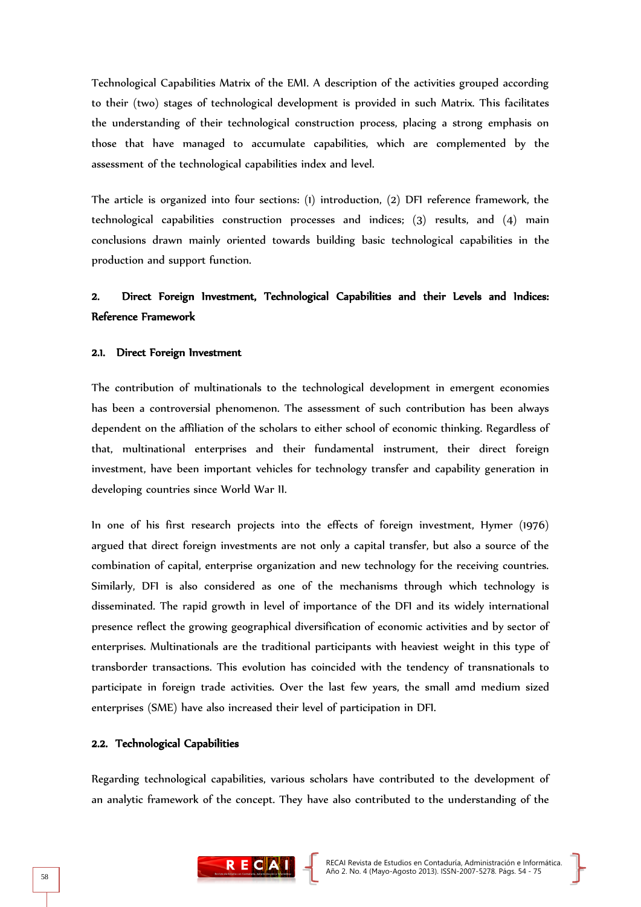Technological Capabilities Matrix of the EMI. A description of the activities grouped according to their (two) stages of technological development is provided in such Matrix. This facilitates the understanding of their technological construction process, placing a strong emphasis on those that have managed to accumulate capabilities, which are complemented by the assessment of the technological capabilities index and level.

The article is organized into four sections: (1) introduction, (2) DFI reference framework, the technological capabilities construction processes and indices; (3) results, and (4) main conclusions drawn mainly oriented towards building basic technological capabilities in the production and support function.

# 2. Direct Foreign Investment, Technological Capabilities and their Levels and Indices: Reference Framework

### 2.1. Direct Foreign Investment

The contribution of multinationals to the technological development in emergent economies has been a controversial phenomenon. The assessment of such contribution has been always dependent on the affiliation of the scholars to either school of economic thinking. Regardless of that, multinational enterprises and their fundamental instrument, their direct foreign investment, have been important vehicles for technology transfer and capability generation in developing countries since World War II.

In one of his first research projects into the effects of foreign investment, Hymer (1976) argued that direct foreign investments are not only a capital transfer, but also a source of the combination of capital, enterprise organization and new technology for the receiving countries. Similarly, DFI is also considered as one of the mechanisms through which technology is disseminated. The rapid growth in level of importance of the DFI and its widely international presence reflect the growing geographical diversification of economic activities and by sector of enterprises. Multinationals are the traditional participants with heaviest weight in this type of transborder transactions. This evolution has coincided with the tendency of transnationals to participate in foreign trade activities. Over the last few years, the small amd medium sized enterprises (SME) have also increased their level of participation in DFI.

#### 2.2. Technological Capabilities

Regarding technological capabilities, various scholars have contributed to the development of an analytic framework of the concept. They have also contributed to the understanding of the

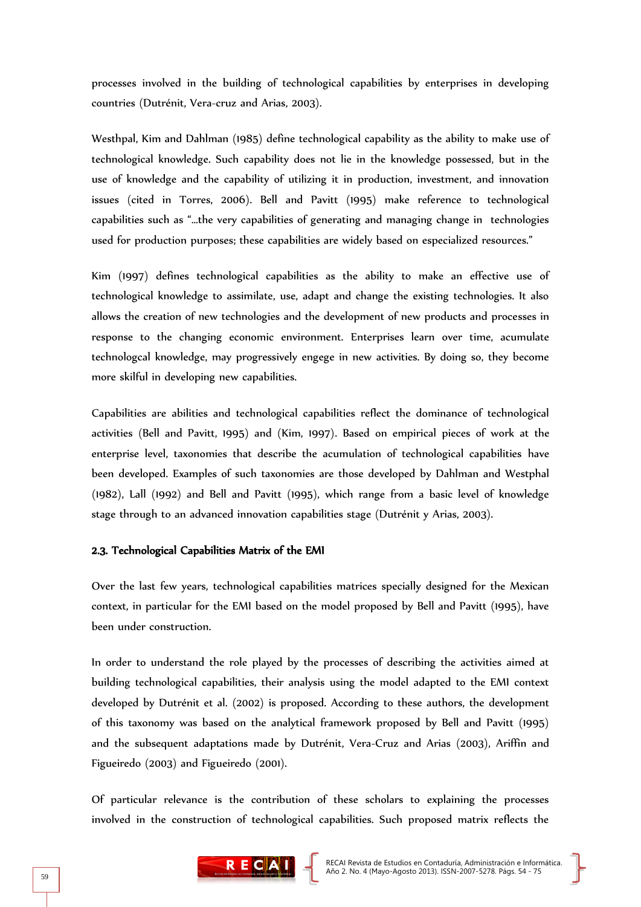processes involved in the building of technological capabilities by enterprises in developing countries (Dutrénit, Vera-cruz and Arias, 2003).

Westhpal, Kim and Dahlman (1985) define technological capability as the ability to make use of technological knowledge. Such capability does not lie in the knowledge possessed, but in the use of knowledge and the capability of utilizing it in production, investment, and innovation issues (cited in Torres, 2006). Bell and Pavitt (1995) make reference to technological capabilities such as "…the very capabilities of generating and managing change in technologies used for production purposes; these capabilities are widely based on especialized resources."

Kim (1997) defines technological capabilities as the ability to make an effective use of technological knowledge to assimilate, use, adapt and change the existing technologies. It also allows the creation of new technologies and the development of new products and processes in response to the changing economic environment. Enterprises learn over time, acumulate technologcal knowledge, may progressively engege in new activities. By doing so, they become more skilful in developing new capabilities.

Capabilities are abilities and technological capabilities reflect the dominance of technological activities (Bell and Pavitt, 1995) and (Kim, 1997). Based on empirical pieces of work at the enterprise level, taxonomies that describe the acumulation of technological capabilities have been developed. Examples of such taxonomies are those developed by Dahlman and Westphal (1982), Lall (1992) and Bell and Pavitt (1995), which range from a basic level of knowledge stage through to an advanced innovation capabilities stage (Dutrénit y Arias, 2003).

## 2.3. Technological Capabilities Matrix of the EMI

Over the last few years, technological capabilities matrices specially designed for the Mexican context, in particular for the EMI based on the model proposed by Bell and Pavitt (1995), have been under construction.

In order to understand the role played by the processes of describing the activities aimed at building technological capabilities, their analysis using the model adapted to the EMI context developed by Dutrénit et al. (2002) is proposed. According to these authors, the development of this taxonomy was based on the analytical framework proposed by Bell and Pavitt (1995) and the subsequent adaptations made by Dutrénit, Vera-Cruz and Arias (2003), Ariffin and Figueiredo (2003) and Figueiredo (2001).

Of particular relevance is the contribution of these scholars to explaining the processes involved in the construction of technological capabilities. Such proposed matrix reflects the

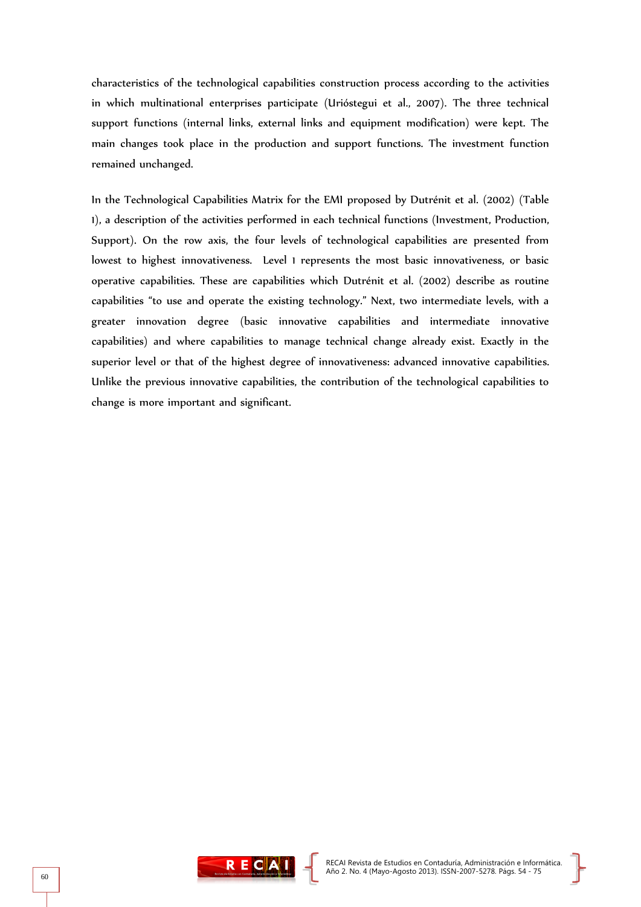characteristics of the technological capabilities construction process according to the activities in which multinational enterprises participate (Urióstegui et al., 2007). The three technical support functions (internal links, external links and equipment modification) were kept. The main changes took place in the production and support functions. The investment function remained unchanged.

In the Technological Capabilities Matrix for the EMI proposed by Dutrénit et al. (2002) (Table 1), a description of the activities performed in each technical functions (Investment, Production, Support). On the row axis, the four levels of technological capabilities are presented from lowest to highest innovativeness. Level 1 represents the most basic innovativeness, or basic operative capabilities. These are capabilities which Dutrénit et al. (2002) describe as routine capabilities "to use and operate the existing technology." Next, two intermediate levels, with a greater innovation degree (basic innovative capabilities and intermediate innovative capabilities) and where capabilities to manage technical change already exist. Exactly in the superior level or that of the highest degree of innovativeness: advanced innovative capabilities. Unlike the previous innovative capabilities, the contribution of the technological capabilities to change is more important and significant.

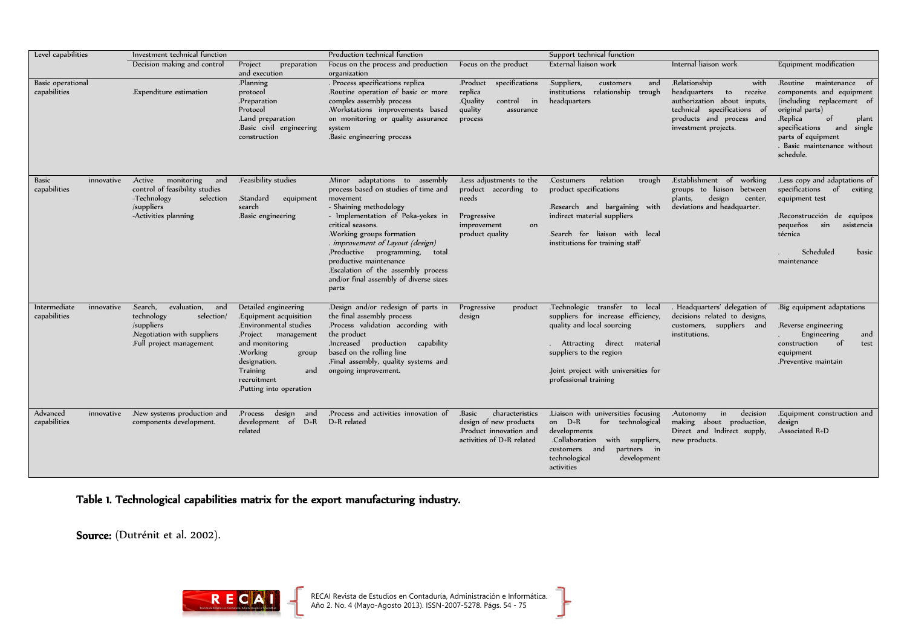| Level capabilities                         | Investment technical function                                                                                                       |                                                                                                                                                                                                                    | Production technical function                                                                                                                                                                                                                                                                                                                                                                |                                                                                                                  | Support technical function                                                                                                                                                                                                 |                                                                                                                                                                    |                                                                                                                                                                                                                                    |
|--------------------------------------------|-------------------------------------------------------------------------------------------------------------------------------------|--------------------------------------------------------------------------------------------------------------------------------------------------------------------------------------------------------------------|----------------------------------------------------------------------------------------------------------------------------------------------------------------------------------------------------------------------------------------------------------------------------------------------------------------------------------------------------------------------------------------------|------------------------------------------------------------------------------------------------------------------|----------------------------------------------------------------------------------------------------------------------------------------------------------------------------------------------------------------------------|--------------------------------------------------------------------------------------------------------------------------------------------------------------------|------------------------------------------------------------------------------------------------------------------------------------------------------------------------------------------------------------------------------------|
|                                            | Decision making and control                                                                                                         | Project<br>preparation<br>and execution                                                                                                                                                                            | Focus on the process and production<br>organization                                                                                                                                                                                                                                                                                                                                          | Focus on the product                                                                                             | External liaison work                                                                                                                                                                                                      | Internal liaison work                                                                                                                                              | Equipment modification                                                                                                                                                                                                             |
| Basic operational<br>capabilities          | Expenditure estimation.                                                                                                             | Planning.<br>protocol<br>.Preparation<br>Protocol<br>Land preparation.<br>Basic civil engineering<br>construction                                                                                                  | . Process specifications replica<br>.Routine operation of basic or more<br>complex assembly process<br>.Workstations improvements based<br>on monitoring or quality assurance<br>system<br>Basic engineering process.                                                                                                                                                                        | .Product specifications<br>replica<br>.Quality<br>in<br>control<br>quality<br>assurance<br>process               | .Suppliers,<br>customers<br>and<br>institutions relationship trough<br>headquarters                                                                                                                                        | .Relationship<br>with<br>headquarters to receive<br>authorization about inputs,<br>technical specifications of<br>products and process and<br>investment projects. | Routine maintenance of<br>components and equipment<br>(including replacement of<br>original parts)<br>.Replica<br>of<br>plant<br>specifications<br>single<br>and<br>parts of equipment<br>. Basic maintenance without<br>schedule. |
| <b>Basic</b><br>innovative<br>capabilities | .Active monitoring and<br>control of feasibility studies<br>-Technology<br>selection<br>/suppliers<br>-Activities planning          | .Feasibility studies<br>.Standard<br>equipment<br>search<br>Basic engineering.                                                                                                                                     | Minor adaptations to assembly<br>process based on studies of time and<br>movement<br>- Shaining methodology<br>- Implementation of Poka-yokes in<br>critical seasons.<br>.Working groups formation<br>. improvement of Layout (design)<br>,Productive programming, total<br>productive maintenance<br>.Escalation of the assembly process<br>and/or final assembly of diverse sizes<br>parts | .Less adjustments to the<br>product according to<br>needs<br>Progressive<br>improvement<br>on<br>product quality | .Costumers<br>relation<br>trough<br>product specifications<br>Research and bargaining with<br>indirect material suppliers<br>Search for liaison with local<br>institutions for training staff                              | .Establishment of working<br>groups to liaison between<br>plants,<br>design<br>center,<br>deviations and headquarter.                                              | .Less copy and adaptations of<br>specifications of exiting<br>equipment test<br>Reconstrucción de equipos<br>pequeños sin<br>asistencia<br>técnica<br>Scheduled<br>basic<br>maintenance                                            |
| Intermediate<br>innovative<br>capabilities | .Search.<br>evaluation,<br>and<br>technology<br>selection/<br>/suppliers<br>.Negotiation with suppliers<br>.Full project management | Detailed engineering<br>.Equipment acquisition<br>.Environmental studies<br>Project management<br>and monitoring<br>.Working<br>group<br>designation.<br>Training<br>and<br>recruitment<br>Putting into operation. | .Design and/or redesign of parts in<br>the final assembly process<br>Process validation according with<br>the product<br>.Increased production capability<br>based on the rolling line<br>Final assembly, quality systems and<br>ongoing improvement.                                                                                                                                        | Progressive<br>product<br>design                                                                                 | Technologic transfer to local<br>suppliers for increase efficiency,<br>quality and local sourcing<br>Attracting direct material<br>suppliers to the region<br>loint project with universities for<br>professional training | . Headquarters' delegation of<br>decisions related to designs,<br>customers, suppliers and<br>institutions.                                                        | .Big equipment adaptations<br>Reverse engineering.<br>Engineering<br>and<br>construction<br>- of<br>test<br>equipment<br>Preventive maintain.                                                                                      |
| Advanced<br>innovative<br>capabilities     | New systems production and<br>components development.                                                                               | Process design and<br>development of D+R<br>related                                                                                                                                                                | Process and activities innovation of<br>D+R related                                                                                                                                                                                                                                                                                                                                          | .Basic<br>characteristics<br>design of new products<br>.Product innovation and<br>activities of D+R related      | Liaison with universities focusing<br>on $D+R$<br>for technological<br>developments<br>.Collaboration with suppliers,<br>customers and<br>partners in<br>technological<br>development<br>activities                        | decision<br>Autonomy in<br>making about production,<br>Direct and Indirect supply,<br>new products.                                                                | Equipment construction and<br>design<br>Associated R+D                                                                                                                                                                             |

Table 1. Technological capabilities matrix for the export manufacturing industry.

Source: (Dutrénit et al. 2002).



}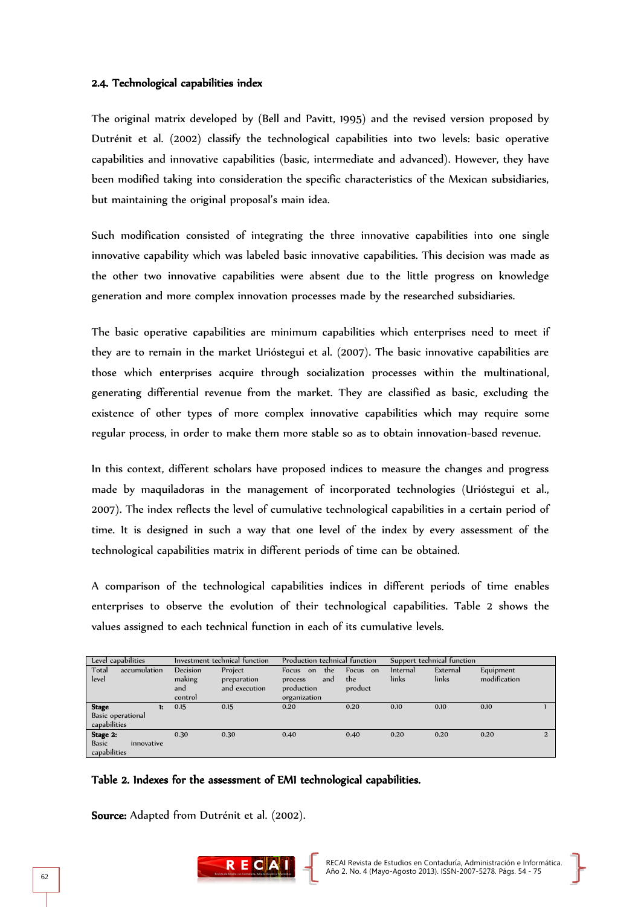### 2.4. Technological capabilities index

The original matrix developed by (Bell and Pavitt, 1995) and the revised version proposed by Dutrénit et al. (2002) classify the technological capabilities into two levels: basic operative capabilities and innovative capabilities (basic, intermediate and advanced). However, they have been modified taking into consideration the specific characteristics of the Mexican subsidiaries, but maintaining the original proposal's main idea.

Such modification consisted of integrating the three innovative capabilities into one single innovative capability which was labeled basic innovative capabilities. This decision was made as the other two innovative capabilities were absent due to the little progress on knowledge generation and more complex innovation processes made by the researched subsidiaries.

The basic operative capabilities are minimum capabilities which enterprises need to meet if they are to remain in the market Urióstegui et al. (2007). The basic innovative capabilities are those which enterprises acquire through socialization processes within the multinational, generating differential revenue from the market. They are classified as basic, excluding the existence of other types of more complex innovative capabilities which may require some regular process, in order to make them more stable so as to obtain innovation-based revenue.

In this context, different scholars have proposed indices to measure the changes and progress made by maquiladoras in the management of incorporated technologies (Urióstegui et al., 2007). The index reflects the level of cumulative technological capabilities in a certain period of time. It is designed in such a way that one level of the index by every assessment of the technological capabilities matrix in different periods of time can be obtained.

A comparison of the technological capabilities indices in different periods of time enables enterprises to observe the evolution of their technological capabilities. Table 2 shows the values assigned to each technical function in each of its cumulative levels.

| Level capabilities                                     | Investment technical function        |                                         | Production technical function                                      |                            | Support technical function |                   |                           |                |
|--------------------------------------------------------|--------------------------------------|-----------------------------------------|--------------------------------------------------------------------|----------------------------|----------------------------|-------------------|---------------------------|----------------|
| Total<br>accumulation<br>level                         | Decision<br>making<br>and<br>control | Project<br>preparation<br>and execution | Focus<br>the<br>on<br>and<br>process<br>production<br>organization | Focus on<br>the<br>product | Internal<br>links          | External<br>links | Equipment<br>modification |                |
| <b>Stage</b><br>1:<br>Basic operational                | 0.15                                 | 0.15                                    | 0.20                                                               | 0.20                       | 0.10                       | 0.10              | 0.10                      |                |
| capabilities                                           |                                      |                                         |                                                                    |                            |                            |                   |                           |                |
| Stage 2:<br><b>Basic</b><br>innovative<br>capabilities | 0.30                                 | 0.30                                    | 0.40                                                               | 0.40                       | 0.20                       | 0.20              | 0.20                      | $\overline{2}$ |

### Table 2. Indexes for the assessment of EMI technological capabilities.

Source: Adapted from Dutrénit et al. (2002).

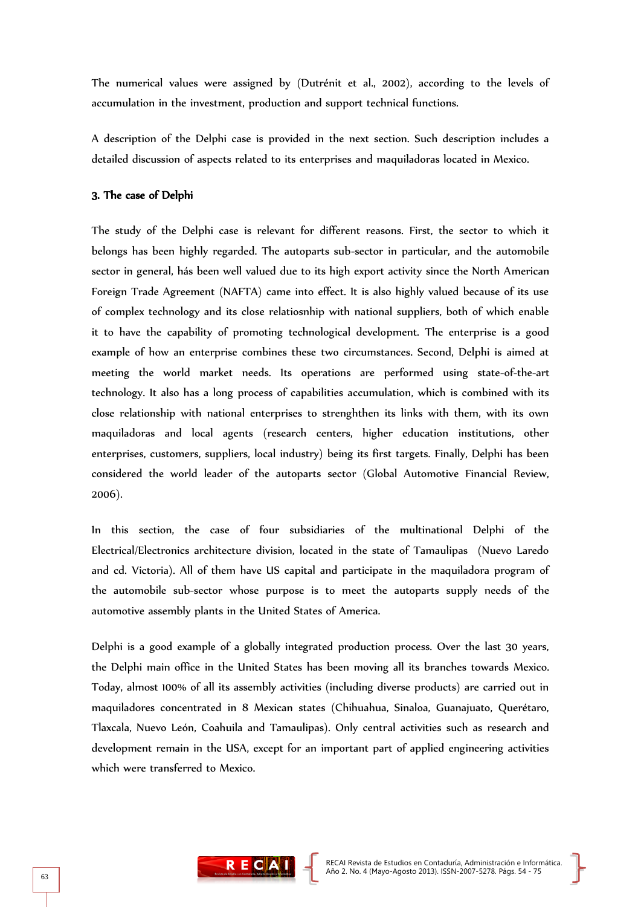The numerical values were assigned by (Dutrénit et al., 2002), according to the levels of accumulation in the investment, production and support technical functions.

A description of the Delphi case is provided in the next section. Such description includes a detailed discussion of aspects related to its enterprises and maquiladoras located in Mexico.

# 3. The case of Delphi

The study of the Delphi case is relevant for different reasons. First, the sector to which it belongs has been highly regarded. The autoparts sub-sector in particular, and the automobile sector in general, hás been well valued due to its high export activity since the North American Foreign Trade Agreement (NAFTA) came into effect. It is also highly valued because of its use of complex technology and its close relatiosnhip with national suppliers, both of which enable it to have the capability of promoting technological development. The enterprise is a good example of how an enterprise combines these two circumstances. Second, Delphi is aimed at meeting the world market needs. Its operations are performed using state-of-the-art technology. It also has a long process of capabilities accumulation, which is combined with its close relationship with national enterprises to strenghthen its links with them, with its own maquiladoras and local agents (research centers, higher education institutions, other enterprises, customers, suppliers, local industry) being its first targets. Finally, Delphi has been considered the world leader of the autoparts sector (Global Automotive Financial Review, 2006).

In this section, the case of four subsidiaries of the multinational Delphi of the Electrical/Electronics architecture division, located in the state of Tamaulipas (Nuevo Laredo and cd. Victoria). All of them have US capital and participate in the maquiladora program of the automobile sub-sector whose purpose is to meet the autoparts supply needs of the automotive assembly plants in the United States of America.

Delphi is a good example of a globally integrated production process. Over the last 30 years, the Delphi main office in the United States has been moving all its branches towards Mexico. Today, almost 100% of all its assembly activities (including diverse products) are carried out in maquiladores concentrated in 8 Mexican states (Chihuahua, Sinaloa, Guanajuato, Querétaro, Tlaxcala, Nuevo León, Coahuila and Tamaulipas). Only central activities such as research and development remain in the USA, except for an important part of applied engineering activities which were transferred to Mexico.

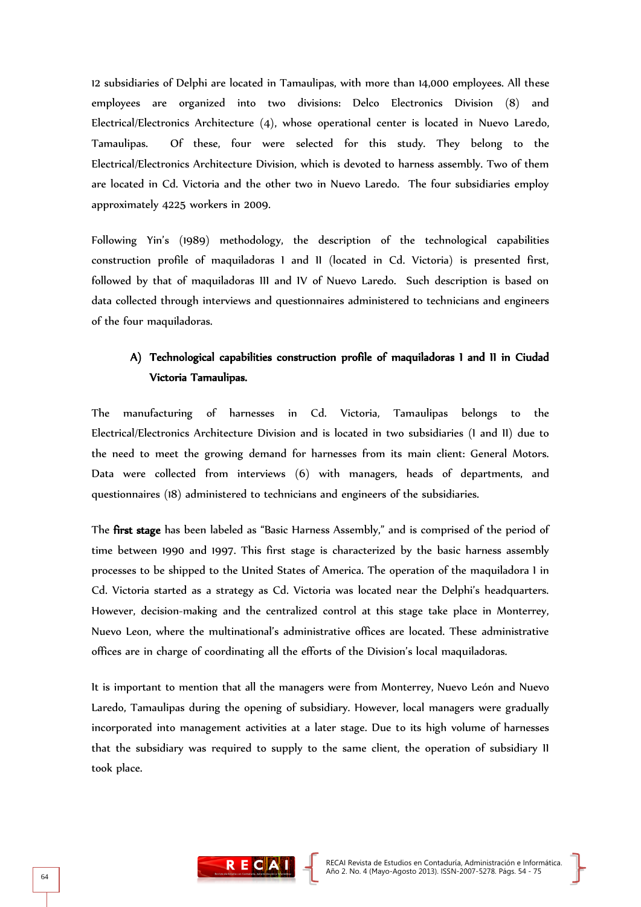12 subsidiaries of Delphi are located in Tamaulipas, with more than 14,000 employees. All these employees are organized into two divisions: Delco Electronics Division (8) and Electrical/Electronics Architecture (4), whose operational center is located in Nuevo Laredo, Tamaulipas. Of these, four were selected for this study. They belong to the Electrical/Electronics Architecture Division, which is devoted to harness assembly. Two of them are located in Cd. Victoria and the other two in Nuevo Laredo. The four subsidiaries employ approximately 4225 workers in 2009.

Following Yin's (1989) methodology, the description of the technological capabilities construction profile of maquiladoras I and II (located in Cd. Victoria) is presented first, followed by that of maquiladoras III and IV of Nuevo Laredo. Such description is based on data collected through interviews and questionnaires administered to technicians and engineers of the four maquiladoras.

# A) Technological capabilities construction profile of maquiladoras I and II in Ciudad Victoria Tamaulipas.

The manufacturing of harnesses in Cd. Victoria, Tamaulipas belongs to the Electrical/Electronics Architecture Division and is located in two subsidiaries (I and II) due to the need to meet the growing demand for harnesses from its main client: General Motors. Data were collected from interviews (6) with managers, heads of departments, and questionnaires (18) administered to technicians and engineers of the subsidiaries.

The first stage has been labeled as "Basic Harness Assembly," and is comprised of the period of time between 1990 and 1997. This first stage is characterized by the basic harness assembly processes to be shipped to the United States of America. The operation of the maquiladora I in Cd. Victoria started as a strategy as Cd. Victoria was located near the Delphi's headquarters. However, decision-making and the centralized control at this stage take place in Monterrey, Nuevo Leon, where the multinational's administrative offices are located. These administrative offices are in charge of coordinating all the efforts of the Division's local maquiladoras.

It is important to mention that all the managers were from Monterrey, Nuevo León and Nuevo Laredo, Tamaulipas during the opening of subsidiary. However, local managers were gradually incorporated into management activities at a later stage. Due to its high volume of harnesses that the subsidiary was required to supply to the same client, the operation of subsidiary II took place.

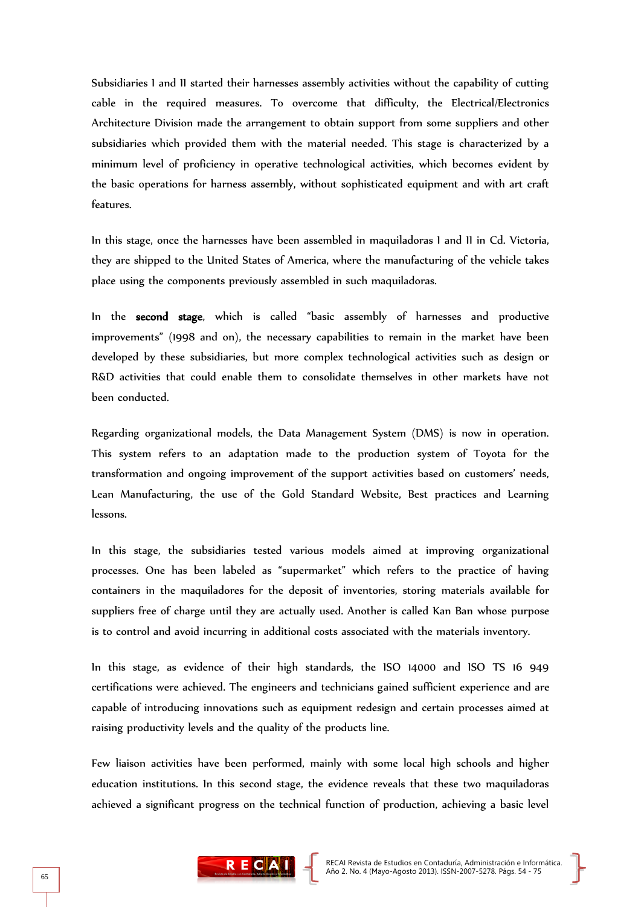Subsidiaries I and II started their harnesses assembly activities without the capability of cutting cable in the required measures. To overcome that difficulty, the Electrical/Electronics Architecture Division made the arrangement to obtain support from some suppliers and other subsidiaries which provided them with the material needed. This stage is characterized by a minimum level of proficiency in operative technological activities, which becomes evident by the basic operations for harness assembly, without sophisticated equipment and with art craft features.

In this stage, once the harnesses have been assembled in maquiladoras I and II in Cd. Victoria, they are shipped to the United States of America, where the manufacturing of the vehicle takes place using the components previously assembled in such maquiladoras.

In the second stage, which is called "basic assembly of harnesses and productive improvements" (1998 and on), the necessary capabilities to remain in the market have been developed by these subsidiaries, but more complex technological activities such as design or R&D activities that could enable them to consolidate themselves in other markets have not been conducted.

Regarding organizational models, the Data Management System (DMS) is now in operation. This system refers to an adaptation made to the production system of Toyota for the transformation and ongoing improvement of the support activities based on customers' needs, Lean Manufacturing, the use of the Gold Standard Website, Best practices and Learning lessons.

In this stage, the subsidiaries tested various models aimed at improving organizational processes. One has been labeled as "supermarket" which refers to the practice of having containers in the maquiladores for the deposit of inventories, storing materials available for suppliers free of charge until they are actually used. Another is called Kan Ban whose purpose is to control and avoid incurring in additional costs associated with the materials inventory.

In this stage, as evidence of their high standards, the ISO 14000 and ISO TS 16 949 certifications were achieved. The engineers and technicians gained sufficient experience and are capable of introducing innovations such as equipment redesign and certain processes aimed at raising productivity levels and the quality of the products line.

Few liaison activities have been performed, mainly with some local high schools and higher education institutions. In this second stage, the evidence reveals that these two maquiladoras achieved a significant progress on the technical function of production, achieving a basic level

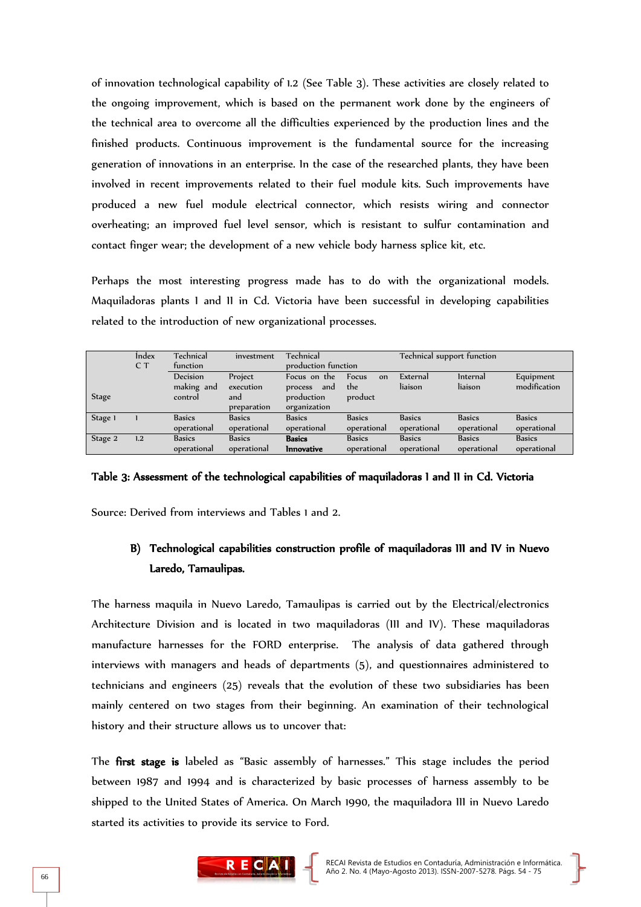of innovation technological capability of 1.2 (See Table 3). These activities are closely related to the ongoing improvement, which is based on the permanent work done by the engineers of the technical area to overcome all the difficulties experienced by the production lines and the finished products. Continuous improvement is the fundamental source for the increasing generation of innovations in an enterprise. In the case of the researched plants, they have been involved in recent improvements related to their fuel module kits. Such improvements have produced a new fuel module electrical connector, which resists wiring and connector overheating; an improved fuel level sensor, which is resistant to sulfur contamination and contact finger wear; the development of a new vehicle body harness splice kit, etc.

Perhaps the most interesting progress made has to do with the organizational models. Maquiladoras plants I and II in Cd. Victoria have been successful in developing capabilities related to the introduction of new organizational processes.

|              | <i>index</i> | Technical     | investment    | Technical           |               | Technical support function |                 |               |
|--------------|--------------|---------------|---------------|---------------------|---------------|----------------------------|-----------------|---------------|
|              | C T          | function      |               | production function |               |                            |                 |               |
|              |              | Decision      | Project       | Focus on the        | Focus<br>on   | External                   | <i>Internal</i> | Equipment     |
|              |              | making and    | execution     | and<br>process      | the           | liaison                    | liaison         | modification  |
| <b>Stage</b> |              | control       | and           | production          | product       |                            |                 |               |
|              |              |               | preparation   | organization        |               |                            |                 |               |
| Stage 1      |              | <b>Basics</b> | <b>Basics</b> | <b>Basics</b>       | <b>Basics</b> | <b>Basics</b>              | <b>Basics</b>   | <b>Basics</b> |
|              |              | operational   | operational   | operational         | operational   | operational                | operational     | operational   |
| Stage 2      | 1.2          | <b>Basics</b> | <b>Basics</b> | <b>Basics</b>       | <b>Basics</b> | <b>Basics</b>              | <b>Basics</b>   | <b>Basics</b> |
|              |              | operational   | operational   | <b>Innovative</b>   | operational   | operational                | operational     | operational   |

#### Table 3: Assessment of the technological capabilities of maquiladoras I and II in Cd. Victoria

Source: Derived from interviews and Tables 1 and 2.

# B) Technological capabilities construction profile of maquiladoras III and IV in Nuevo Laredo, Tamaulipas.

The harness maquila in Nuevo Laredo, Tamaulipas is carried out by the Electrical/electronics Architecture Division and is located in two maquiladoras (III and IV). These maquiladoras manufacture harnesses for the FORD enterprise. The analysis of data gathered through interviews with managers and heads of departments (5), and questionnaires administered to technicians and engineers (25) reveals that the evolution of these two subsidiaries has been mainly centered on two stages from their beginning. An examination of their technological history and their structure allows us to uncover that:

The first stage is labeled as "Basic assembly of harnesses." This stage includes the period between 1987 and 1994 and is characterized by basic processes of harness assembly to be shipped to the United States of America. On March 1990, the maquiladora III in Nuevo Laredo started its activities to provide its service to Ford.

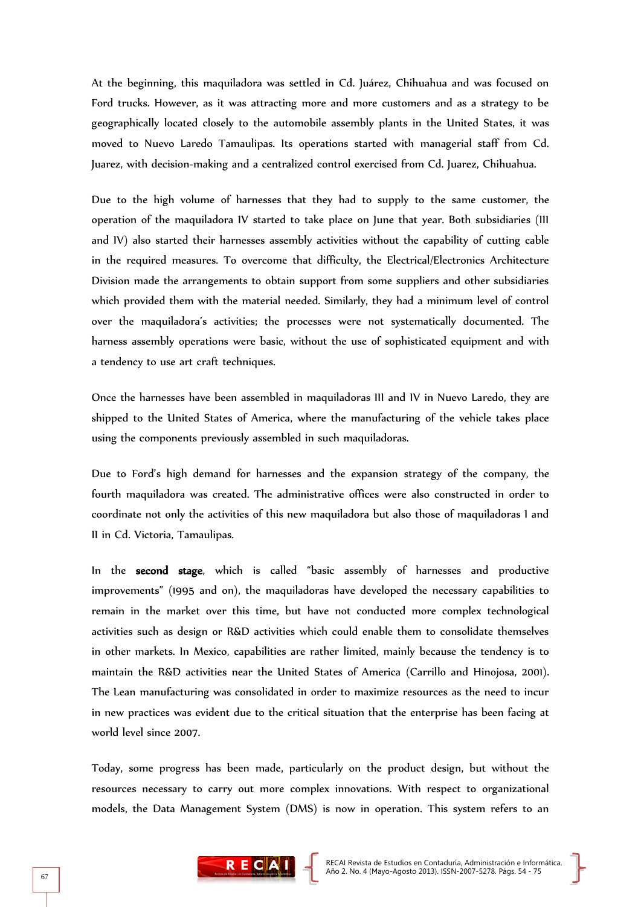At the beginning, this maquiladora was settled in Cd. Juárez, Chihuahua and was focused on Ford trucks. However, as it was attracting more and more customers and as a strategy to be geographically located closely to the automobile assembly plants in the United States, it was moved to Nuevo Laredo Tamaulipas. Its operations started with managerial staff from Cd. Juarez, with decision-making and a centralized control exercised from Cd. Juarez, Chihuahua.

Due to the high volume of harnesses that they had to supply to the same customer, the operation of the maquiladora IV started to take place on June that year. Both subsidiaries (III and IV) also started their harnesses assembly activities without the capability of cutting cable in the required measures. To overcome that difficulty, the Electrical/Electronics Architecture Division made the arrangements to obtain support from some suppliers and other subsidiaries which provided them with the material needed. Similarly, they had a minimum level of control over the maquiladora's activities; the processes were not systematically documented. The harness assembly operations were basic, without the use of sophisticated equipment and with a tendency to use art craft techniques.

Once the harnesses have been assembled in maquiladoras III and IV in Nuevo Laredo, they are shipped to the United States of America, where the manufacturing of the vehicle takes place using the components previously assembled in such maquiladoras.

Due to Ford's high demand for harnesses and the expansion strategy of the company, the fourth maquiladora was created. The administrative offices were also constructed in order to coordinate not only the activities of this new maquiladora but also those of maquiladoras I and II in Cd. Victoria, Tamaulipas.

In the second stage, which is called "basic assembly of harnesses and productive improvements" (1995 and on), the maquiladoras have developed the necessary capabilities to remain in the market over this time, but have not conducted more complex technological activities such as design or R&D activities which could enable them to consolidate themselves in other markets. In Mexico, capabilities are rather limited, mainly because the tendency is to maintain the R&D activities near the United States of America (Carrillo and Hinojosa, 2001). The Lean manufacturing was consolidated in order to maximize resources as the need to incur in new practices was evident due to the critical situation that the enterprise has been facing at world level since 2007.

Today, some progress has been made, particularly on the product design, but without the resources necessary to carry out more complex innovations. With respect to organizational models, the Data Management System (DMS) is now in operation. This system refers to an

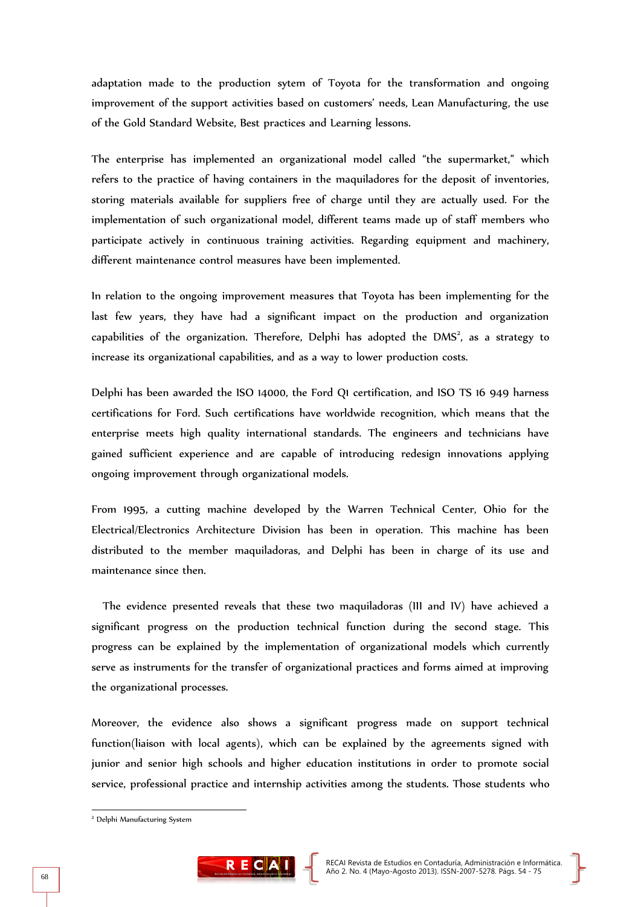adaptation made to the production sytem of Toyota for the transformation and ongoing improvement of the support activities based on customers' needs, Lean Manufacturing, the use of the Gold Standard Website, Best practices and Learning lessons.

The enterprise has implemented an organizational model called "the supermarket," which refers to the practice of having containers in the maquiladores for the deposit of inventories, storing materials available for suppliers free of charge until they are actually used. For the implementation of such organizational model, different teams made up of staff members who participate actively in continuous training activities. Regarding equipment and machinery, different maintenance control measures have been implemented.

In relation to the ongoing improvement measures that Toyota has been implementing for the last few years, they have had a significant impact on the production and organization capabilities of the organization. Therefore, Delphi has adopted the  $DMS<sup>2</sup>$ , as a strategy to increase its organizational capabilities, and as a way to lower production costs.

Delphi has been awarded the ISO 14000, the Ford Q1 certification, and ISO TS 16 949 harness certifications for Ford. Such certifications have worldwide recognition, which means that the enterprise meets high quality international standards. The engineers and technicians have gained sufficient experience and are capable of introducing redesign innovations applying ongoing improvement through organizational models.

From 1995, a cutting machine developed by the Warren Technical Center, Ohio for the Electrical/Electronics Architecture Division has been in operation. This machine has been distributed to the member maquiladoras, and Delphi has been in charge of its use and maintenance since then.

 The evidence presented reveals that these two maquiladoras (III and IV) have achieved a significant progress on the production technical function during the second stage. This progress can be explained by the implementation of organizational models which currently serve as instruments for the transfer of organizational practices and forms aimed at improving the organizational processes.

Moreover, the evidence also shows a significant progress made on support technical function(liaison with local agents), which can be explained by the agreements signed with junior and senior high schools and higher education institutions in order to promote social service, professional practice and internship activities among the students. Those students who

-



<sup>&</sup>lt;sup>2</sup> Delphi Manufacturing System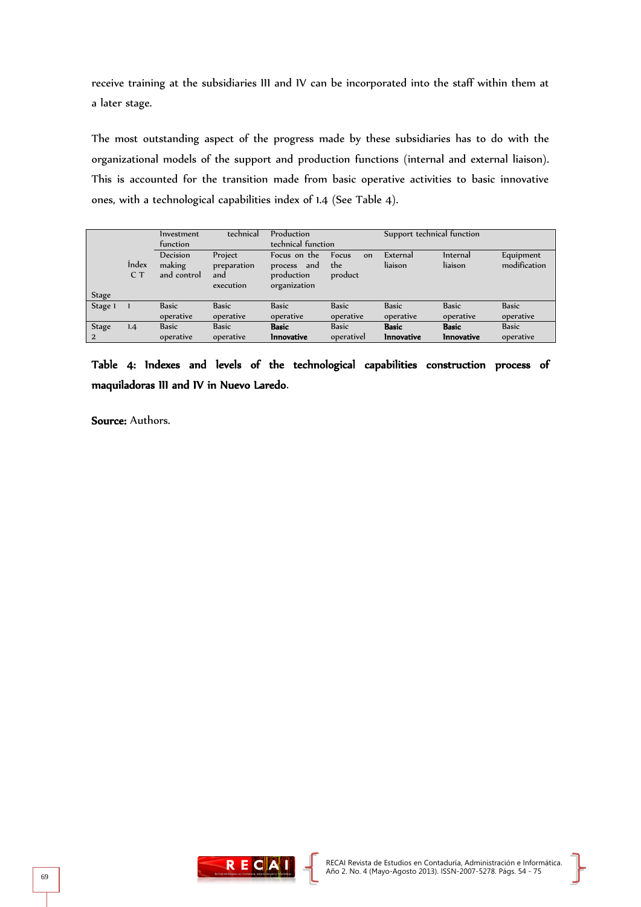receive training at the subsidiaries III and IV can be incorporated into the staff within them at a later stage.

The most outstanding aspect of the progress made by these subsidiaries has to do with the organizational models of the support and production functions (internal and external liaison). This is accounted for the transition made from basic operative activities to basic innovative ones, with a technological capabilities index of 1.4 (See Table 4).

|              |              | Investment   | technical          | Production        |              | Support technical function |                   |              |
|--------------|--------------|--------------|--------------------|-------------------|--------------|----------------------------|-------------------|--------------|
|              | function     |              | technical function |                   |              |                            |                   |              |
|              |              | Decision     | Project            | Focus on the      | Focus<br>on  | External                   | <i>Internal</i>   | Equipment    |
|              | <i>index</i> | making       | preparation        | process and       | the          | liaison                    | liaison           | modification |
|              | C T          | and control  | and                | production        | product      |                            |                   |              |
|              |              |              | execution          | organization      |              |                            |                   |              |
| <b>Stage</b> |              |              |                    |                   |              |                            |                   |              |
| Stage 1      |              | <b>Basic</b> | <b>Basic</b>       | <b>Basic</b>      | <b>Basic</b> | <b>Basic</b>               | <b>Basic</b>      | <b>Basic</b> |
|              |              | operative    | operative          | operative         | operative    | operative                  | operative         | operative    |
| <b>Stage</b> | 1.4          | <b>Basic</b> | <b>Basic</b>       | <b>Basic</b>      | <b>Basic</b> | <b>Basic</b>               | <b>Basic</b>      | <b>Basic</b> |
| <sup>2</sup> |              | operative    | operative          | <b>Innovative</b> | operativel   | <b>Innovative</b>          | <b>Innovative</b> | operative    |

Table 4: Indexes and levels of the technological capabilities construction process of maquiladoras III and IV in Nuevo Laredo.

Source: Authors.

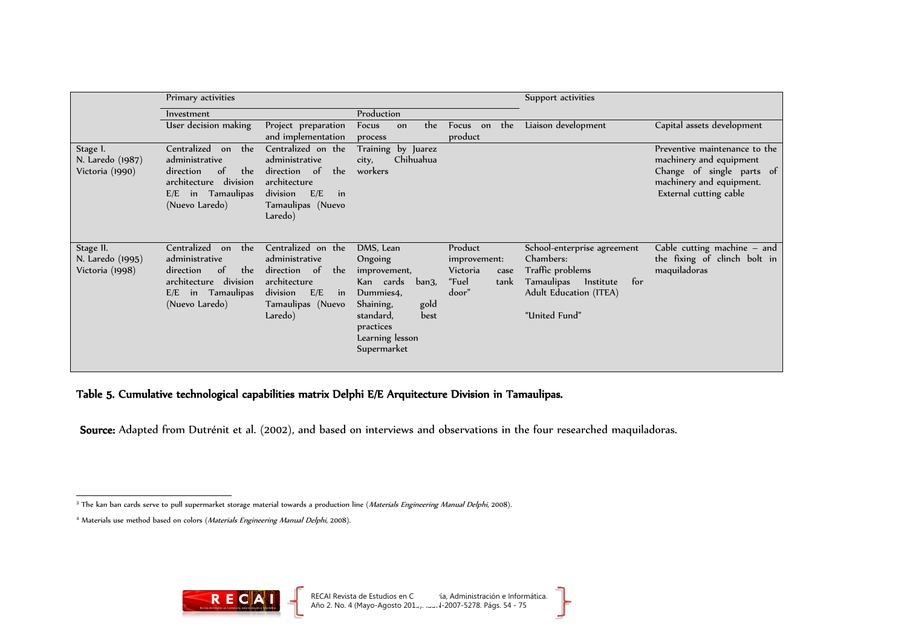|                               | Primary activities                                                                              |                                                                                              |                                                                                                                                          | Support activities                         |                                                                                               |                                                                                 |
|-------------------------------|-------------------------------------------------------------------------------------------------|----------------------------------------------------------------------------------------------|------------------------------------------------------------------------------------------------------------------------------------------|--------------------------------------------|-----------------------------------------------------------------------------------------------|---------------------------------------------------------------------------------|
|                               | Investment                                                                                      |                                                                                              | Production                                                                                                                               |                                            |                                                                                               |                                                                                 |
|                               | User decision making                                                                            | Project preparation                                                                          | the<br>Focus<br>on                                                                                                                       | Focus on<br>the                            | Liaison development                                                                           | Capital assets development                                                      |
| Stage 1.                      | Centralized<br>the<br>on                                                                        | and implementation<br>Centralized on the                                                     | process<br>Training by Juarez                                                                                                            | product                                    |                                                                                               | Preventive maintenance to the                                                   |
| N. Laredo (1987)              | administrative                                                                                  | administrative                                                                               | Chihuahua<br>city,                                                                                                                       |                                            |                                                                                               | machinery and equipment                                                         |
| Victoria (1990)               | the<br>direction<br>of<br>architecture division<br>Tamaulipas<br>$E/E$ in<br>(Nuevo Laredo)     | direction of<br>the<br>architecture<br>division<br>E/E<br>in<br>Tamaulipas (Nuevo<br>Laredo) | workers                                                                                                                                  |                                            |                                                                                               | Change of single parts of<br>machinery and equipment.<br>External cutting cable |
|                               | Centralized                                                                                     |                                                                                              |                                                                                                                                          |                                            |                                                                                               |                                                                                 |
| Stage II.<br>N. Laredo (1995) | the<br>on<br>administrative                                                                     | Centralized on the<br>administrative                                                         | DMS, Lean<br>Ongoing                                                                                                                     | Product<br>improvement:                    | School-enterprise agreement<br>Chambers:                                                      | Cable cutting machine $-$ and<br>the fixing of clinch bolt in                   |
| Victoria (1998)               | $\circ$ f<br>the<br>direction<br>architecture division<br>$E/E$ in Tamaulipas<br>(Nuevo Laredo) | direction of<br>the<br>architecture<br>division<br>E/E<br>in<br>Tamaulipas (Nuevo<br>Laredo) | improvement,<br>Kan cards<br>ban3,<br>Dummies4,<br>gold<br>Shaining,<br>standard,<br>best<br>practices<br>Learning lesson<br>Supermarket | Victoria<br>case<br>"Fuel<br>tank<br>door" | Traffic problems<br>Tamaulipas<br>for<br>Institute<br>Adult Education (ITEA)<br>"United Fund" | maquiladoras                                                                    |

Table 5. Cumulative technological capabilities matrix Delphi E/E Arquitecture Division in Tamaulipas.

Source: Adapted from Dutrénit et al. (2002), and based on interviews and observations in the four researched maquiladoras.



ŀ

 $\overline{a}$ <sup>3</sup> The kan ban cards serve to pull supermarket storage material towards a production line (*Materials Engineering Manual Delphi*, 2008).

<sup>&</sup>lt;sup>4</sup> Materials use method based on colors (Materials Engineering Manual Delphi, 2008).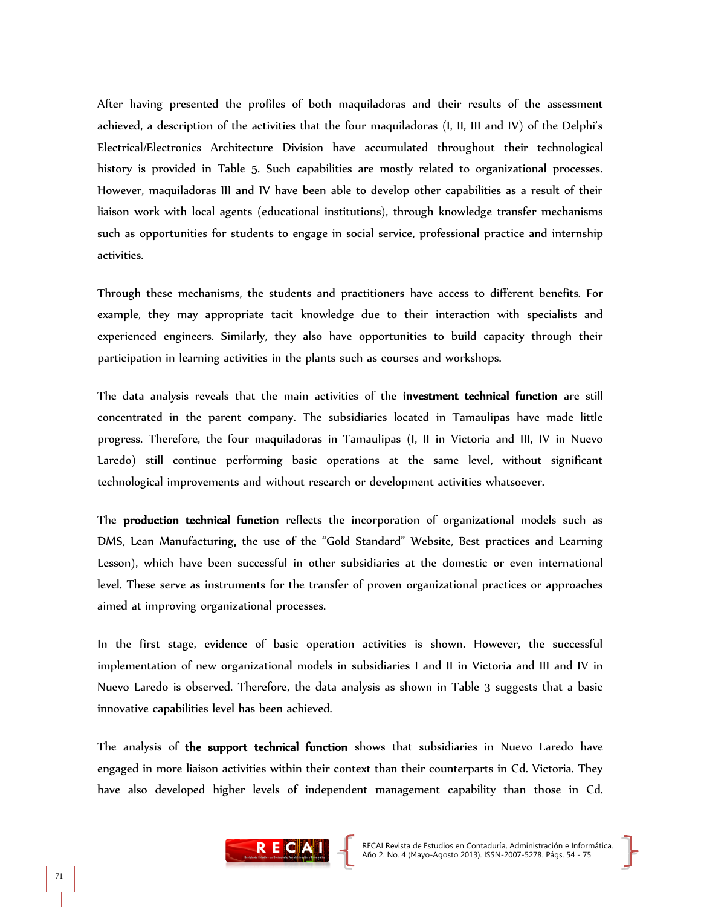After having presented the profiles of both maquiladoras and their results of the assessment achieved, a description of the activities that the four maquiladoras (I, II, III and IV) of the Delphi's Electrical/Electronics Architecture Division have accumulated throughout their technological history is provided in Table 5. Such capabilities are mostly related to organizational processes. However, maquiladoras III and IV have been able to develop other capabilities as a result of their liaison work with local agents (educational institutions), through knowledge transfer mechanisms such as opportunities for students to engage in social service, professional practice and internship activities.

Through these mechanisms, the students and practitioners have access to different benefits. For example, they may appropriate tacit knowledge due to their interaction with specialists and experienced engineers. Similarly, they also have opportunities to build capacity through their participation in learning activities in the plants such as courses and workshops.

The data analysis reveals that the main activities of the investment technical function are still concentrated in the parent company. The subsidiaries located in Tamaulipas have made little progress. Therefore, the four maquiladoras in Tamaulipas (I, II in Victoria and III, IV in Nuevo Laredo) still continue performing basic operations at the same level, without significant technological improvements and without research or development activities whatsoever.

The production technical function reflects the incorporation of organizational models such as DMS, Lean Manufacturing, the use of the "Gold Standard" Website, Best practices and Learning Lesson), which have been successful in other subsidiaries at the domestic or even international level. These serve as instruments for the transfer of proven organizational practices or approaches aimed at improving organizational processes.

In the first stage, evidence of basic operation activities is shown. However, the successful implementation of new organizational models in subsidiaries I and II in Victoria and III and IV in Nuevo Laredo is observed. Therefore, the data analysis as shown in Table 3 suggests that a basic innovative capabilities level has been achieved.

The analysis of the support technical function shows that subsidiaries in Nuevo Laredo have engaged in more liaison activities within their context than their counterparts in Cd. Victoria. They have also developed higher levels of independent management capability than those in Cd.

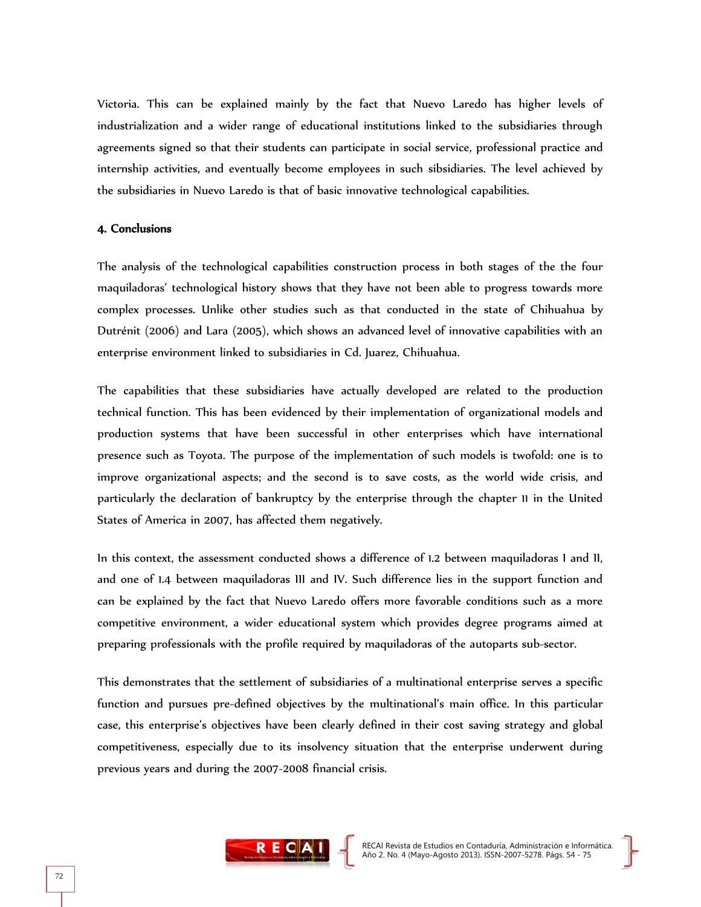Victoria. This can be explained mainly by the fact that Nuevo Laredo has higher levels of industrialization and a wider range of educational institutions linked to the subsidiaries through agreements signed so that their students can participate in social service, professional practice and internship activities, and eventually become employees in such sibsidiaries. The level achieved by the subsidiaries in Nuevo Laredo is that of basic innovative technological capabilities.

#### 4. Conclusions

The analysis of the technological capabilities construction process in both stages of the the four maquiladoras' technological history shows that they have not been able to progress towards more complex processes. Unlike other studies such as that conducted in the state of Chihuahua by Dutrénit (2006) and Lara (2005), which shows an advanced level of innovative capabilities with an enterprise environment linked to subsidiaries in Cd. Juarez, Chihuahua.

The capabilities that these subsidiaries have actually developed are related to the production technical function. This has been evidenced by their implementation of organizational models and production systems that have been successful in other enterprises which have international presence such as Toyota. The purpose of the implementation of such models is twofold: one is to improve organizational aspects; and the second is to save costs, as the world wide crisis, and particularly the declaration of bankruptcy by the enterprise through the chapter 11 in the United States of America in 2007, has affected them negatively.

In this context, the assessment conducted shows a difference of 1.2 between maquiladoras I and II, and one of 1.4 between maquiladoras III and IV. Such difference lies in the support function and can be explained by the fact that Nuevo Laredo offers more favorable conditions such as a more competitive environment, a wider educational system which provides degree programs aimed at preparing professionals with the profile required by maquiladoras of the autoparts sub-sector.

This demonstrates that the settlement of subsidiaries of a multinational enterprise serves a specific function and pursues pre-defined objectives by the multinational's main office. In this particular case, this enterprise's objectives have been clearly defined in their cost saving strategy and global competitiveness, especially due to its insolvency situation that the enterprise underwent during previous years and during the 2007-2008 financial crisis.

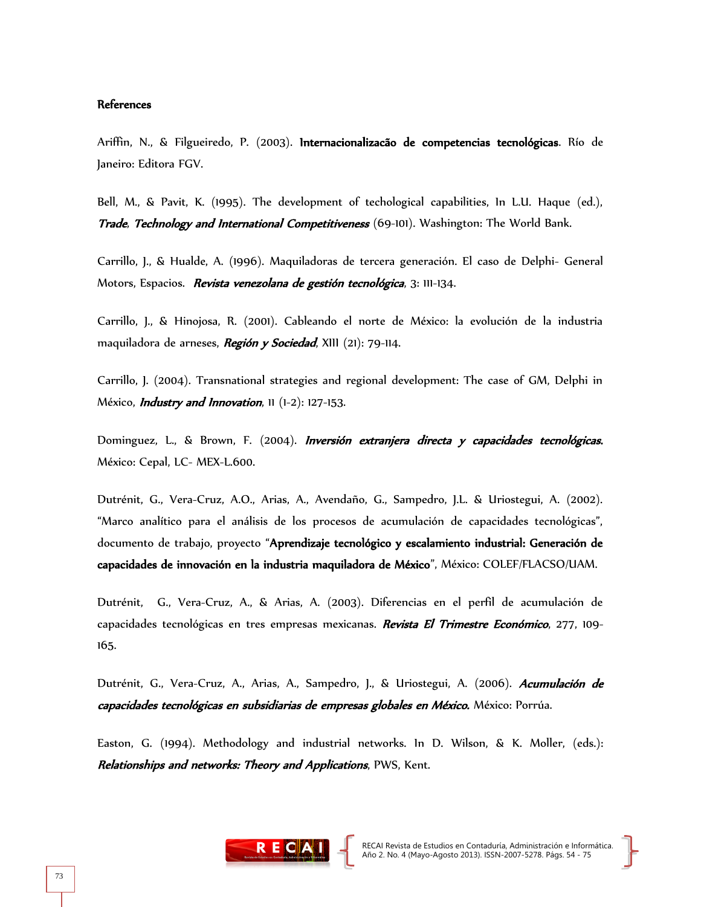#### References

Ariffin, N., & Filgueiredo, P. (2003). Internacionalizacão de competencias tecnológicas. Río de Janeiro: Editora FGV.

Bell, M., & Pavit, K. (1995). The development of techological capabilities, In L.U. Haque (ed.), Trade, Technology and International Competitiveness (69-101). Washington: The World Bank.

Carrillo, J., & Hualde, A. (1996). Maquiladoras de tercera generación. El caso de Delphi- General Motors, Espacios. Revista venezolana de gestión tecnológica, 3: 111-134.

Carrillo, J., & Hinojosa, R. (2001). Cableando el norte de México: la evolución de la industria maquiladora de arneses, Región y Sociedad, XIII (21): 79-114.

Carrillo, J. (2004). Transnational strategies and regional development: The case of GM, Delphi in México, *Industry and Innovation*, 11 (1-2): 127-153.

Dominguez, L., & Brown, F. (2004). *Inversión extranjera directa y capacidades tecnológicas.* México: Cepal, LC- MEX-L.600.

Dutrénit, G., Vera-Cruz, A.O., Arias, A., Avendaño, G., Sampedro, J.L. & Uriostegui, A. (2002). "Marco analítico para el análisis de los procesos de acumulación de capacidades tecnológicas", documento de trabajo, proyecto "Aprendizaje tecnológico y escalamiento industrial: Generación de capacidades de innovación en la industria maquiladora de México", México: COLEF/FLACSO/UAM.

Dutrénit, G., Vera-Cruz, A., & Arias, A. (2003). Diferencias en el perfil de acumulación de capacidades tecnológicas en tres empresas mexicanas. Revista El Trimestre Económico, 277, 109-165.

Dutrénit, G., Vera-Cruz, A., Arias, A., Sampedro, J., & Uriostegui, A. (2006). Acumulación de capacidades tecnológicas en subsidiarias de empresas globales en México. México: Porrúa.

Easton, G. (1994). Methodology and industrial networks. In D. Wilson, & K. Moller, (eds.): Relationships and networks: Theory and Applications, PWS, Kent.

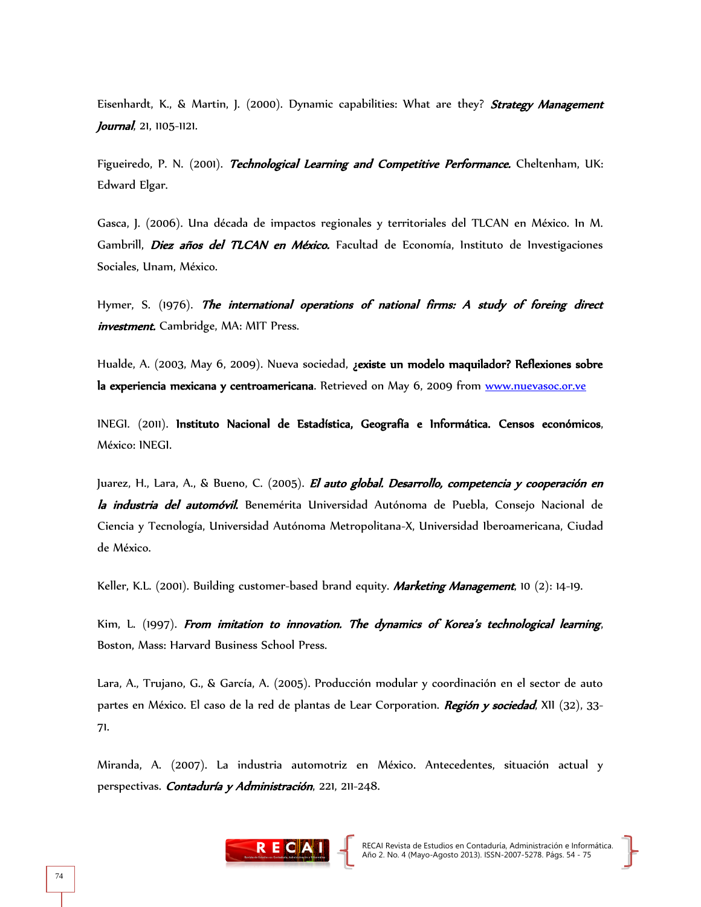Eisenhardt, K., & Martin, J. (2000). Dynamic capabilities: What are they? **Strategy Management** Journal, 21, 1105-1121.

Figueiredo, P. N. (2001). Technological Learning and Competitive Performance. Cheltenham, UK: Edward Elgar.

Gasca, J. (2006). Una década de impactos regionales y territoriales del TLCAN en México. In M. Gambrill, *Diez años del TLCAN en México*. Facultad de Economía, Instituto de Investigaciones Sociales, Unam, México.

Hymer, S. (1976). The international operations of national firms: A study of foreing direct *investment.* Cambridge, MA: MIT Press.

Hualde, A. (2003, May 6, 2009). Nueva sociedad, ¿existe un modelo maquilador? Reflexiones sobre la experiencia mexicana y centroamericana. Retrieved on May 6, 2009 from [www.nuevasoc.or.ve](http://www.nuevasoc.or.ve/)

INEGI. (2011). Instituto Nacional de Estadística, Geografía e Informática. Censos económicos, México: INEGI.

Juarez, H., Lara, A., & Bueno, C. (2005). *El auto global. Desarrollo, competencia y cooperación en* la industria del automóvil. Benemérita Universidad Autónoma de Puebla, Consejo Nacional de Ciencia y Tecnología, Universidad Autónoma Metropolitana-X, Universidad Iberoamericana, Ciudad de México.

Keller, K.L. (2001). Building customer-based brand equity. Marketing Management, 10 (2): 14-19.

Kim, L. (1997). From imitation to innovation. The dynamics of Korea's technological learning, Boston, Mass: Harvard Business School Press.

Lara, A., Trujano, G., & García, A. (2005). Producción modular y coordinación en el sector de auto partes en México. El caso de la red de plantas de Lear Corporation. Región y sociedad, XII (32), 33-71.

Miranda, A. (2007). La industria automotriz en México. Antecedentes, situación actual y perspectivas. Contaduría y Administración, 221, 211-248.